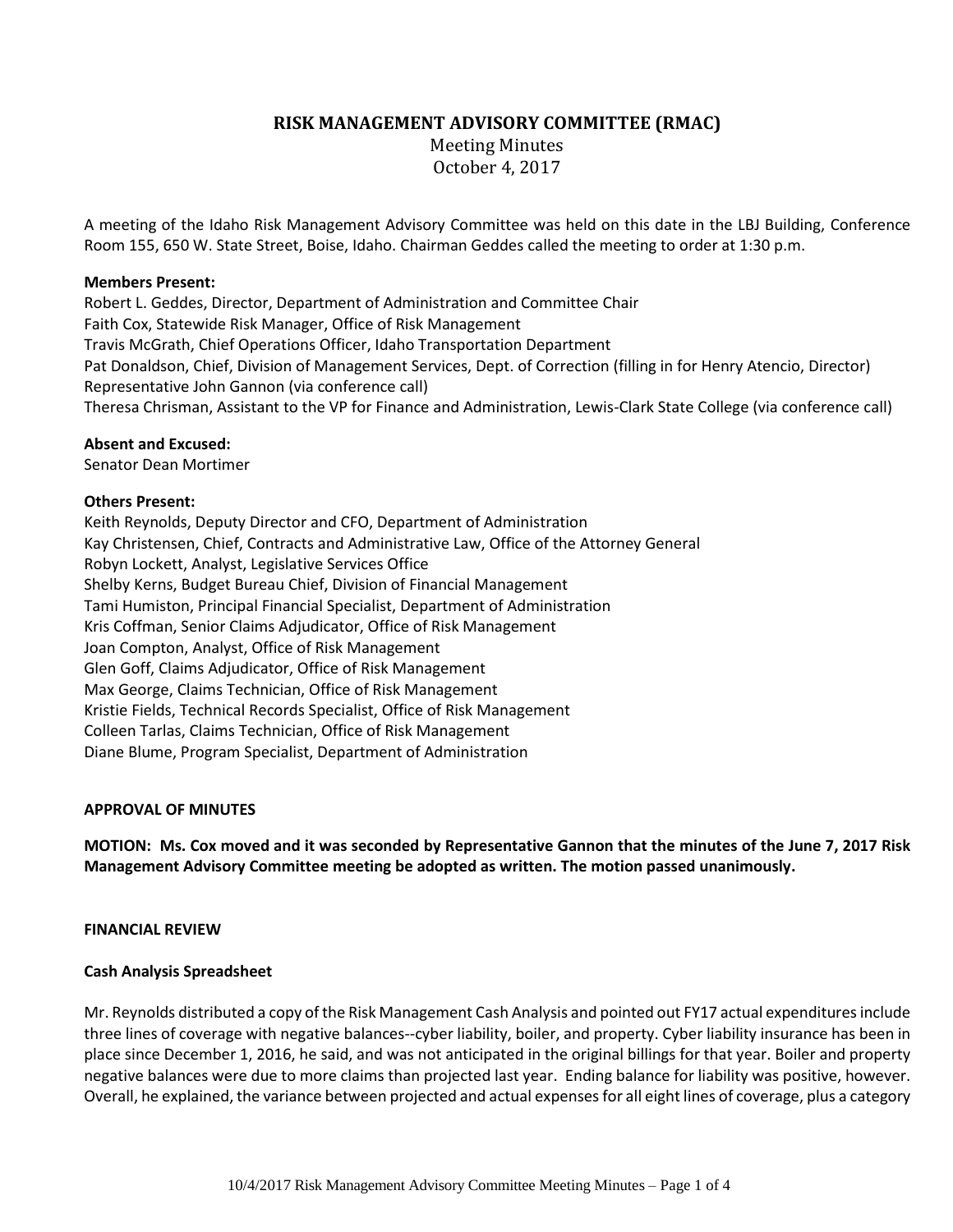**RISK MANAGEMENT ADVISORY COMMITTEE (RMAC)**

Meeting Minutes October 4, 2017

A meeting of the Idaho Risk Management Advisory Committee was held on this date in the LBJ Building, Conference Room 155, 650 W. State Street, Boise, Idaho. Chairman Geddes called the meeting to order at 1:30 p.m.

#### **Members Present:**

Robert L. Geddes, Director, Department of Administration and Committee Chair Faith Cox, Statewide Risk Manager, Office of Risk Management Travis McGrath, Chief Operations Officer, Idaho Transportation Department Pat Donaldson, Chief, Division of Management Services, Dept. of Correction (filling in for Henry Atencio, Director) Representative John Gannon (via conference call) Theresa Chrisman, Assistant to the VP for Finance and Administration, Lewis-Clark State College (via conference call)

#### **Absent and Excused:**

Senator Dean Mortimer

## **Others Present:**

Keith Reynolds, Deputy Director and CFO, Department of Administration Kay Christensen, Chief, Contracts and Administrative Law, Office of the Attorney General Robyn Lockett, Analyst, Legislative Services Office Shelby Kerns, Budget Bureau Chief, Division of Financial Management Tami Humiston, Principal Financial Specialist, Department of Administration Kris Coffman, Senior Claims Adjudicator, Office of Risk Management Joan Compton, Analyst, Office of Risk Management Glen Goff, Claims Adjudicator, Office of Risk Management Max George, Claims Technician, Office of Risk Management Kristie Fields, Technical Records Specialist, Office of Risk Management Colleen Tarlas, Claims Technician, Office of Risk Management Diane Blume, Program Specialist, Department of Administration

## **APPROVAL OF MINUTES**

**MOTION: Ms. Cox moved and it was seconded by Representative Gannon that the minutes of the June 7, 2017 Risk Management Advisory Committee meeting be adopted as written. The motion passed unanimously.**

#### **FINANCIAL REVIEW**

## **Cash Analysis Spreadsheet**

Mr. Reynolds distributed a copy of the Risk Management Cash Analysis and pointed out FY17 actual expenditures include three lines of coverage with negative balances--cyber liability, boiler, and property. Cyber liability insurance has been in place since December 1, 2016, he said, and was not anticipated in the original billings for that year. Boiler and property negative balances were due to more claims than projected last year. Ending balance for liability was positive, however. Overall, he explained, the variance between projected and actual expenses for all eight lines of coverage, plus a category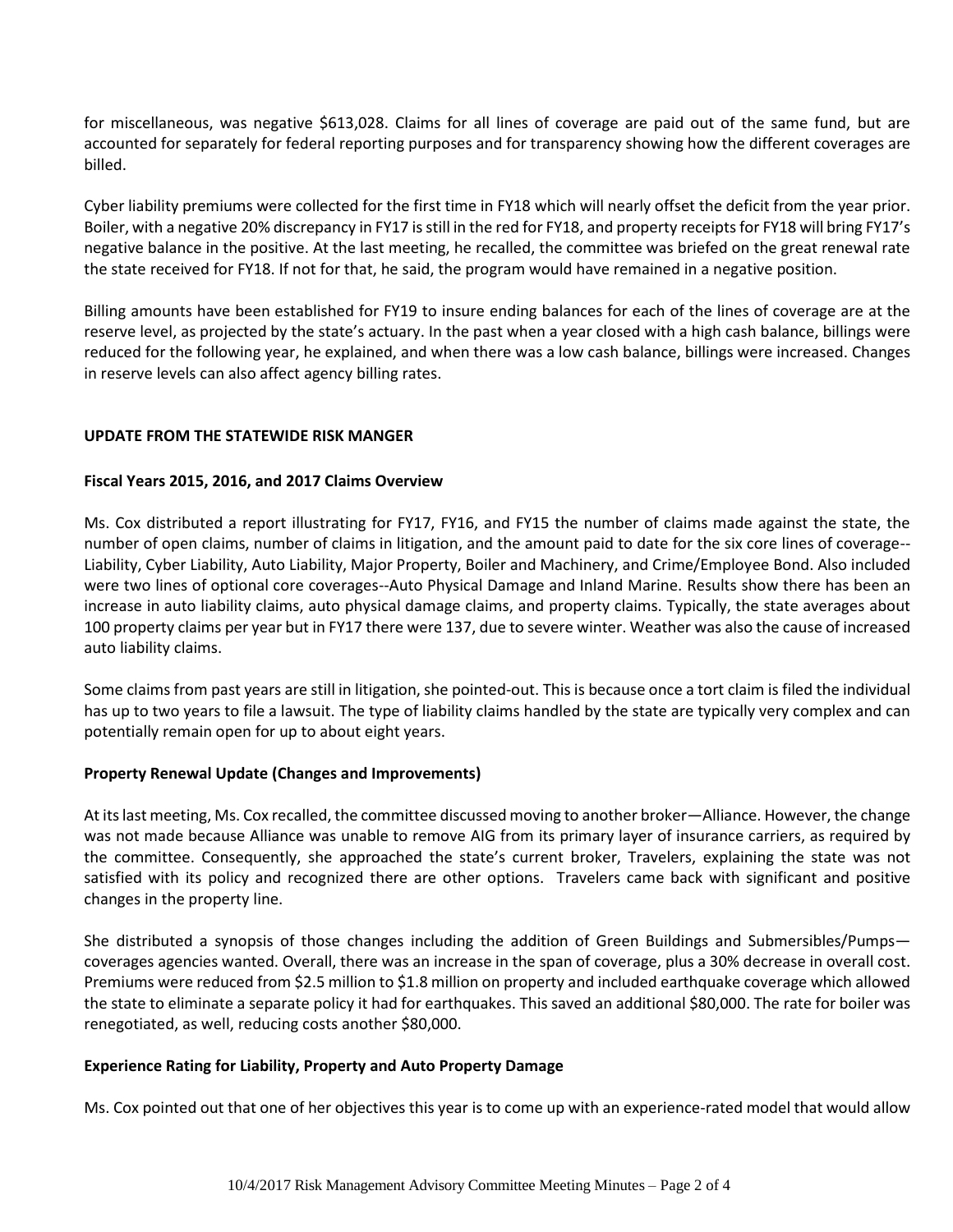for miscellaneous, was negative \$613,028. Claims for all lines of coverage are paid out of the same fund, but are accounted for separately for federal reporting purposes and for transparency showing how the different coverages are billed.

Cyber liability premiums were collected for the first time in FY18 which will nearly offset the deficit from the year prior. Boiler, with a negative 20% discrepancy in FY17 is still in the red for FY18, and property receipts for FY18 will bring FY17's negative balance in the positive. At the last meeting, he recalled, the committee was briefed on the great renewal rate the state received for FY18. If not for that, he said, the program would have remained in a negative position.

Billing amounts have been established for FY19 to insure ending balances for each of the lines of coverage are at the reserve level, as projected by the state's actuary. In the past when a year closed with a high cash balance, billings were reduced for the following year, he explained, and when there was a low cash balance, billings were increased. Changes in reserve levels can also affect agency billing rates.

# **UPDATE FROM THE STATEWIDE RISK MANGER**

## **Fiscal Years 2015, 2016, and 2017 Claims Overview**

Ms. Cox distributed a report illustrating for FY17, FY16, and FY15 the number of claims made against the state, the number of open claims, number of claims in litigation, and the amount paid to date for the six core lines of coverage-- Liability, Cyber Liability, Auto Liability, Major Property, Boiler and Machinery, and Crime/Employee Bond. Also included were two lines of optional core coverages--Auto Physical Damage and Inland Marine. Results show there has been an increase in auto liability claims, auto physical damage claims, and property claims. Typically, the state averages about 100 property claims per year but in FY17 there were 137, due to severe winter. Weather was also the cause of increased auto liability claims.

Some claims from past years are still in litigation, she pointed-out. This is because once a tort claim is filed the individual has up to two years to file a lawsuit. The type of liability claims handled by the state are typically very complex and can potentially remain open for up to about eight years.

## **Property Renewal Update (Changes and Improvements)**

At itslast meeting, Ms. Cox recalled, the committee discussed moving to another broker—Alliance. However, the change was not made because Alliance was unable to remove AIG from its primary layer of insurance carriers, as required by the committee. Consequently, she approached the state's current broker, Travelers, explaining the state was not satisfied with its policy and recognized there are other options. Travelers came back with significant and positive changes in the property line.

She distributed a synopsis of those changes including the addition of Green Buildings and Submersibles/Pumps coverages agencies wanted. Overall, there was an increase in the span of coverage, plus a 30% decrease in overall cost. Premiums were reduced from \$2.5 million to \$1.8 million on property and included earthquake coverage which allowed the state to eliminate a separate policy it had for earthquakes. This saved an additional \$80,000. The rate for boiler was renegotiated, as well, reducing costs another \$80,000.

#### **Experience Rating for Liability, Property and Auto Property Damage**

Ms. Cox pointed out that one of her objectives this year is to come up with an experience-rated model that would allow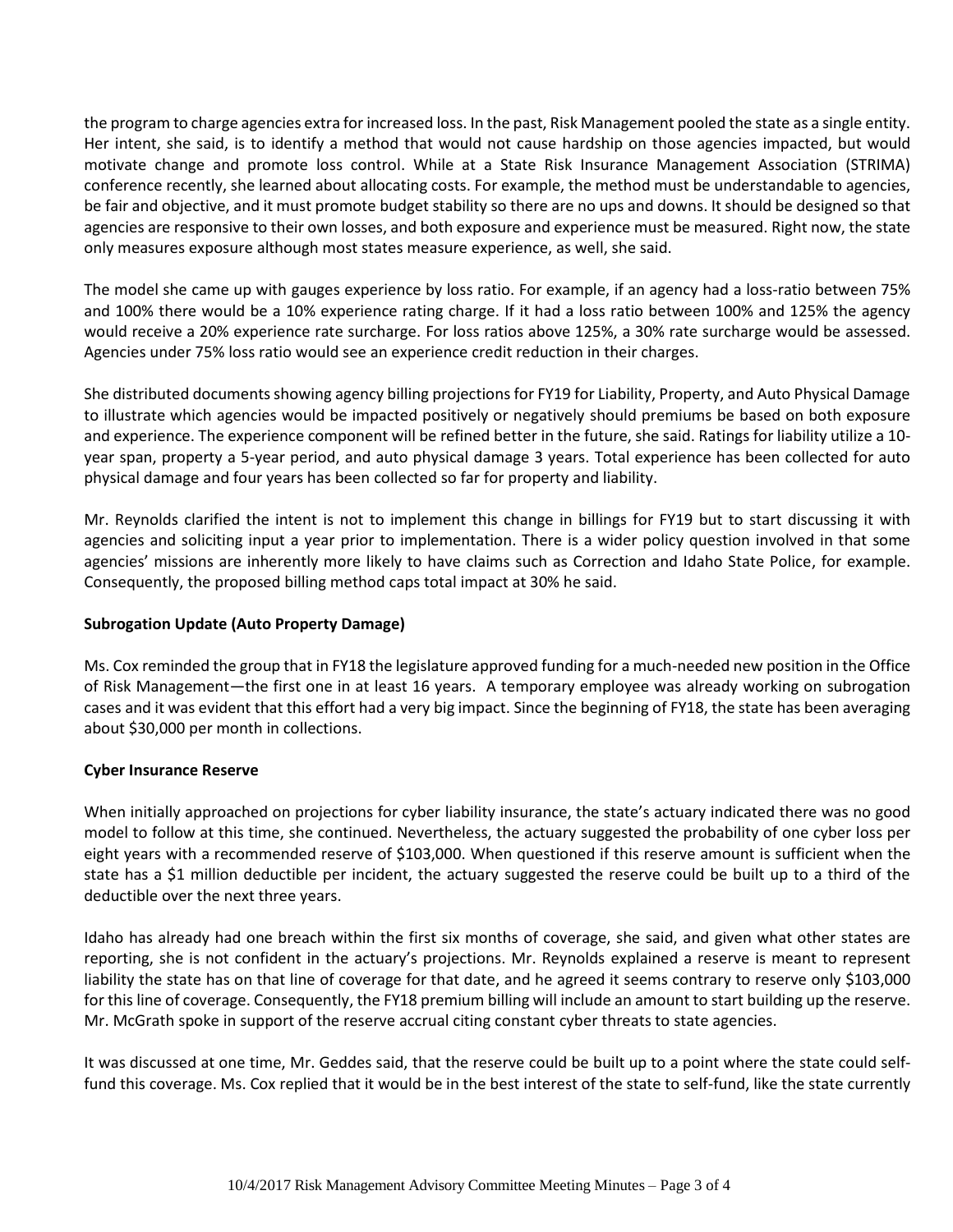the program to charge agencies extra for increased loss. In the past, Risk Management pooled the state as a single entity. Her intent, she said, is to identify a method that would not cause hardship on those agencies impacted, but would motivate change and promote loss control. While at a State Risk Insurance Management Association (STRIMA) conference recently, she learned about allocating costs. For example, the method must be understandable to agencies, be fair and objective, and it must promote budget stability so there are no ups and downs. It should be designed so that agencies are responsive to their own losses, and both exposure and experience must be measured. Right now, the state only measures exposure although most states measure experience, as well, she said.

The model she came up with gauges experience by loss ratio. For example, if an agency had a loss-ratio between 75% and 100% there would be a 10% experience rating charge. If it had a loss ratio between 100% and 125% the agency would receive a 20% experience rate surcharge. For loss ratios above 125%, a 30% rate surcharge would be assessed. Agencies under 75% loss ratio would see an experience credit reduction in their charges.

She distributed documents showing agency billing projections for FY19 for Liability, Property, and Auto Physical Damage to illustrate which agencies would be impacted positively or negatively should premiums be based on both exposure and experience. The experience component will be refined better in the future, she said. Ratings for liability utilize a 10 year span, property a 5-year period, and auto physical damage 3 years. Total experience has been collected for auto physical damage and four years has been collected so far for property and liability.

Mr. Reynolds clarified the intent is not to implement this change in billings for FY19 but to start discussing it with agencies and soliciting input a year prior to implementation. There is a wider policy question involved in that some agencies' missions are inherently more likely to have claims such as Correction and Idaho State Police, for example. Consequently, the proposed billing method caps total impact at 30% he said.

# **Subrogation Update (Auto Property Damage)**

Ms. Cox reminded the group that in FY18 the legislature approved funding for a much-needed new position in the Office of Risk Management—the first one in at least 16 years. A temporary employee was already working on subrogation cases and it was evident that this effort had a very big impact. Since the beginning of FY18, the state has been averaging about \$30,000 per month in collections.

## **Cyber Insurance Reserve**

When initially approached on projections for cyber liability insurance, the state's actuary indicated there was no good model to follow at this time, she continued. Nevertheless, the actuary suggested the probability of one cyber loss per eight years with a recommended reserve of \$103,000. When questioned if this reserve amount is sufficient when the state has a \$1 million deductible per incident, the actuary suggested the reserve could be built up to a third of the deductible over the next three years.

Idaho has already had one breach within the first six months of coverage, she said, and given what other states are reporting, she is not confident in the actuary's projections. Mr. Reynolds explained a reserve is meant to represent liability the state has on that line of coverage for that date, and he agreed it seems contrary to reserve only \$103,000 for this line of coverage. Consequently, the FY18 premium billing will include an amount to start building up the reserve. Mr. McGrath spoke in support of the reserve accrual citing constant cyber threats to state agencies.

It was discussed at one time, Mr. Geddes said, that the reserve could be built up to a point where the state could selffund this coverage. Ms. Cox replied that it would be in the best interest of the state to self-fund, like the state currently